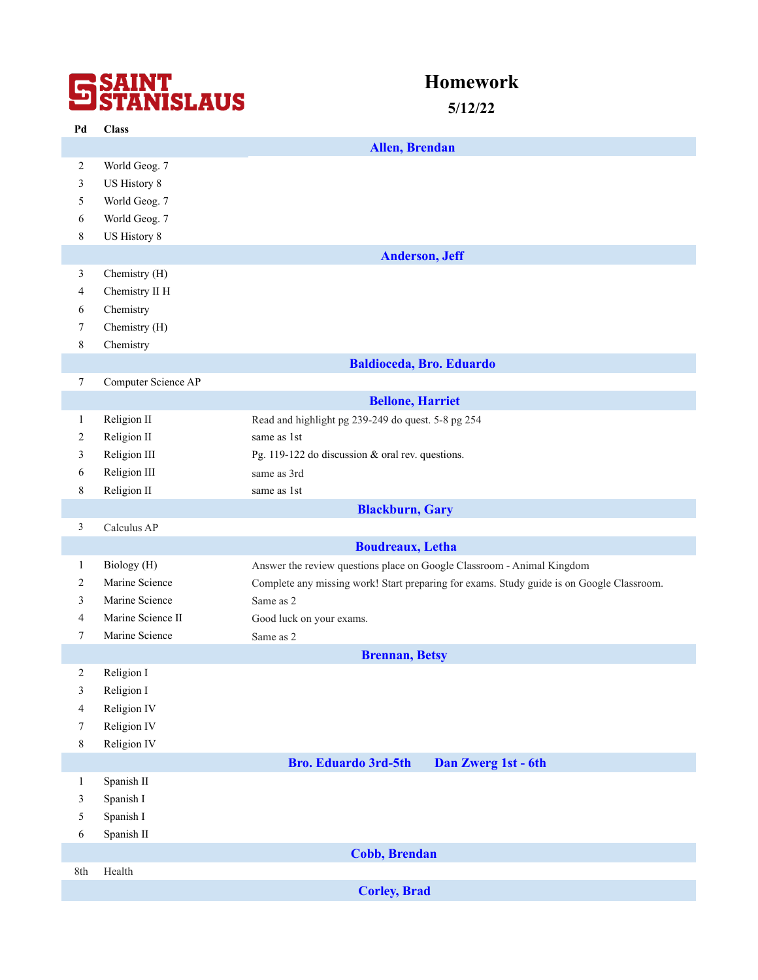# **SSAINT**<br>STANISLAUS

# **Homework**

**5/12/22**

| Pd               | <b>Class</b>        |                                                                                           |
|------------------|---------------------|-------------------------------------------------------------------------------------------|
|                  |                     | <b>Allen, Brendan</b>                                                                     |
| $\overline{c}$   | World Geog. 7       |                                                                                           |
| $\mathfrak{Z}$   | US History 8        |                                                                                           |
| 5                | World Geog. 7       |                                                                                           |
| 6                | World Geog. 7       |                                                                                           |
| 8                | US History 8        |                                                                                           |
|                  |                     | <b>Anderson, Jeff</b>                                                                     |
| 3                | Chemistry (H)       |                                                                                           |
| 4                | Chemistry II H      |                                                                                           |
| 6                | Chemistry           |                                                                                           |
| 7                | Chemistry (H)       |                                                                                           |
| 8                | Chemistry           |                                                                                           |
|                  |                     | <b>Baldioceda, Bro. Eduardo</b>                                                           |
| $\boldsymbol{7}$ | Computer Science AP |                                                                                           |
|                  |                     | <b>Bellone, Harriet</b>                                                                   |
| $\mathbf{1}$     | Religion II         | Read and highlight pg 239-249 do quest. 5-8 pg 254                                        |
| $\overline{c}$   | Religion II         | same as 1st                                                                               |
| 3                | Religion III        | Pg. 119-122 do discussion & oral rev. questions.                                          |
| 6                | Religion III        | same as 3rd                                                                               |
| 8                | Religion II         | same as 1st                                                                               |
|                  |                     | <b>Blackburn</b> , Gary                                                                   |
| 3                | Calculus AP         |                                                                                           |
|                  |                     | <b>Boudreaux</b> , Letha                                                                  |
| 1                | Biology (H)         | Answer the review questions place on Google Classroom - Animal Kingdom                    |
| 2                | Marine Science      | Complete any missing work! Start preparing for exams. Study guide is on Google Classroom. |
| 3                | Marine Science      | Same as 2                                                                                 |
| 4                | Marine Science II   | Good luck on your exams.                                                                  |
| 7                | Marine Science      | Same as 2                                                                                 |
|                  |                     | <b>Brennan</b> , Betsy                                                                    |
| 2                | Religion I          |                                                                                           |
| 3                | Religion I          |                                                                                           |
| $\overline{4}$   | Religion IV         |                                                                                           |
| 7                | Religion IV         |                                                                                           |
| $8\,$            | Religion IV         |                                                                                           |
|                  |                     | <b>Bro. Eduardo 3rd-5th</b><br>Dan Zwerg 1st - 6th                                        |
| $\mathbf{1}$     | Spanish II          |                                                                                           |
| 3                | Spanish I           |                                                                                           |
| 5                | Spanish I           |                                                                                           |
| 6                | Spanish II          |                                                                                           |
|                  |                     | <b>Cobb, Brendan</b>                                                                      |
| 8th              | Health              |                                                                                           |
|                  |                     | <b>Corley, Brad</b>                                                                       |
|                  |                     |                                                                                           |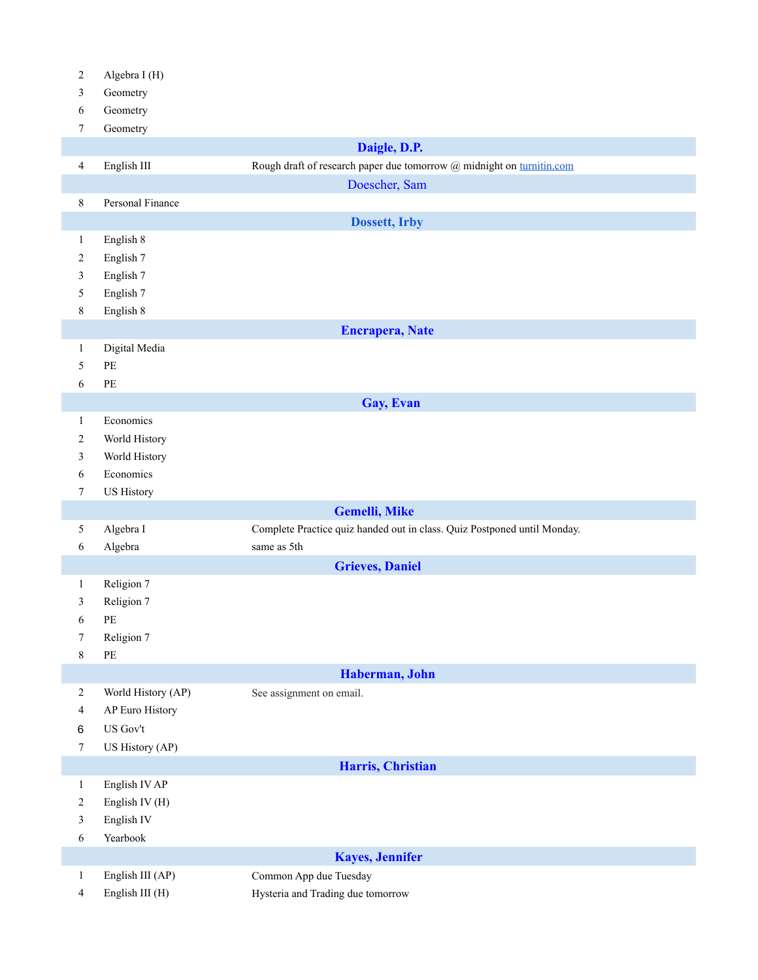| 3                | Geometry                                   |                                                                          |
|------------------|--------------------------------------------|--------------------------------------------------------------------------|
| 6                | Geometry                                   |                                                                          |
| 7                | Geometry                                   |                                                                          |
|                  |                                            | Daigle, D.P.                                                             |
| $\overline{4}$   | English III                                | Rough draft of research paper due tomorrow @ midnight on turnitin.com    |
|                  |                                            | Doescher, Sam                                                            |
| $\,8\,$          | Personal Finance                           |                                                                          |
|                  |                                            | <b>Dossett, Irby</b>                                                     |
| $\mathbf{1}$     | English 8                                  |                                                                          |
| $\overline{c}$   | English 7                                  |                                                                          |
|                  |                                            |                                                                          |
| 3                | English 7<br>English 7                     |                                                                          |
| 5<br>$8\,$       | English 8                                  |                                                                          |
|                  |                                            |                                                                          |
|                  |                                            | <b>Encrapera, Nate</b>                                                   |
| $\mathbf{1}$     | Digital Media                              |                                                                          |
| 5                | $\ensuremath{\mathop{\mathrm{PE}}}\xspace$ |                                                                          |
| 6                | $\ensuremath{\mathop{\mathrm{PE}}}\xspace$ |                                                                          |
|                  |                                            | Gay, Evan                                                                |
| $\mathbf{1}$     | Economics                                  |                                                                          |
| 2                | World History                              |                                                                          |
| 3                | World History                              |                                                                          |
| $\sqrt{6}$       | Economics                                  |                                                                          |
| $\boldsymbol{7}$ | <b>US History</b>                          |                                                                          |
|                  |                                            | <b>Gemelli, Mike</b>                                                     |
| 5                | Algebra I                                  | Complete Practice quiz handed out in class. Quiz Postponed until Monday. |
| $\sqrt{6}$       | Algebra                                    | same as 5th                                                              |
|                  |                                            | <b>Grieves, Daniel</b>                                                   |
| $\mathbf{1}$     | Religion 7                                 |                                                                          |
| 3                | Religion 7                                 |                                                                          |
| 6                | $\ensuremath{\mathop{\mathrm{PE}}}\xspace$ |                                                                          |
| 7                | Religion 7                                 |                                                                          |
| $8\,$            | $\ensuremath{\mathop{\mathrm{PE}}}\xspace$ |                                                                          |
|                  |                                            | Haberman, John                                                           |
| $\overline{2}$   | World History (AP)                         | See assignment on email.                                                 |
| $\overline{4}$   | AP Euro History                            |                                                                          |
| 6                | US Gov't                                   |                                                                          |
| $\boldsymbol{7}$ | US History (AP)                            |                                                                          |
|                  |                                            | Harris, Christian                                                        |
| $\mathbf{1}$     | English IV AP                              |                                                                          |
| 2                | English IV (H)                             |                                                                          |
| 3                | English IV                                 |                                                                          |
| 6                | Yearbook                                   |                                                                          |
|                  |                                            |                                                                          |
|                  |                                            | <b>Kayes</b> , Jennifer                                                  |

English III (AP) Common App due Tuesday

Algebra I (H)

English III (H) Hysteria and Trading due tomorrow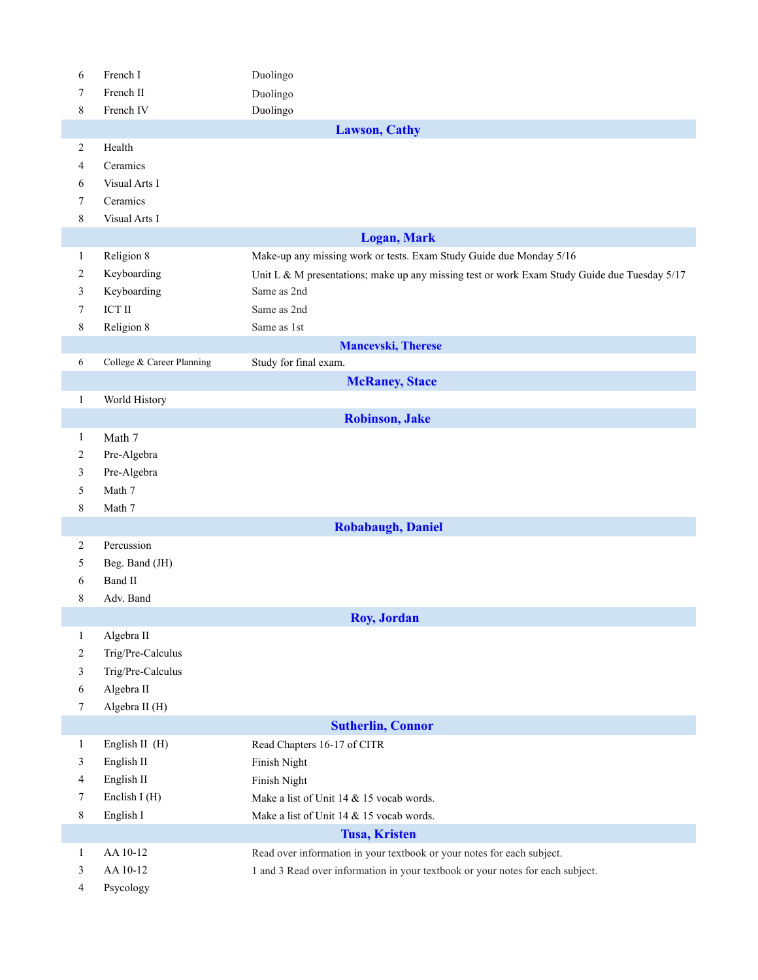| 6                    | French I                    | Duolingo                                                                                     |  |  |  |  |
|----------------------|-----------------------------|----------------------------------------------------------------------------------------------|--|--|--|--|
| 7                    | French II                   | Duolingo                                                                                     |  |  |  |  |
| 8                    | French IV                   | Duolingo                                                                                     |  |  |  |  |
|                      | <b>Lawson, Cathy</b>        |                                                                                              |  |  |  |  |
| $\overline{2}$       | Health                      |                                                                                              |  |  |  |  |
| 4                    | Ceramics                    |                                                                                              |  |  |  |  |
| 6                    | Visual Arts I               |                                                                                              |  |  |  |  |
| 7                    | Ceramics                    |                                                                                              |  |  |  |  |
| $\,$ $\,$            | Visual Arts I               |                                                                                              |  |  |  |  |
|                      |                             | <b>Logan, Mark</b>                                                                           |  |  |  |  |
| 1                    | Religion 8                  | Make-up any missing work or tests. Exam Study Guide due Monday 5/16                          |  |  |  |  |
| $\overline{c}$       | Keyboarding                 | Unit L & M presentations; make up any missing test or work Exam Study Guide due Tuesday 5/17 |  |  |  |  |
| 3                    | Keyboarding                 | Same as 2nd                                                                                  |  |  |  |  |
| $\tau$               | $\operatorname{ICT} \amalg$ | Same as 2nd                                                                                  |  |  |  |  |
| 8                    | Religion 8                  | Same as 1st                                                                                  |  |  |  |  |
|                      | <b>Mancevski, Therese</b>   |                                                                                              |  |  |  |  |
| 6                    | College & Career Planning   | Study for final exam.                                                                        |  |  |  |  |
|                      |                             | <b>McRaney, Stace</b>                                                                        |  |  |  |  |
| $\mathbf{1}$         | World History               |                                                                                              |  |  |  |  |
|                      |                             | <b>Robinson</b> , Jake                                                                       |  |  |  |  |
| $\mathbf{1}$         | Math 7                      |                                                                                              |  |  |  |  |
| $\overline{c}$       | Pre-Algebra                 |                                                                                              |  |  |  |  |
| 3                    | Pre-Algebra                 |                                                                                              |  |  |  |  |
| 5                    | Math 7                      |                                                                                              |  |  |  |  |
| 8                    | Math 7                      |                                                                                              |  |  |  |  |
|                      |                             | <b>Robabaugh, Daniel</b>                                                                     |  |  |  |  |
| $\overline{2}$       | Percussion                  |                                                                                              |  |  |  |  |
| 5                    | Beg. Band (JH)              |                                                                                              |  |  |  |  |
| 6                    | <b>Band II</b>              |                                                                                              |  |  |  |  |
| 8                    | Adv. Band                   |                                                                                              |  |  |  |  |
|                      |                             | Roy, Jordan                                                                                  |  |  |  |  |
| $\mathbf{1}$         | Algebra II                  |                                                                                              |  |  |  |  |
| $\overline{c}$       | Trig/Pre-Calculus           |                                                                                              |  |  |  |  |
| 3                    | Trig/Pre-Calculus           |                                                                                              |  |  |  |  |
| 6                    | Algebra II                  |                                                                                              |  |  |  |  |
| $\tau$               | Algebra II (H)              |                                                                                              |  |  |  |  |
|                      |                             | <b>Sutherlin, Connor</b>                                                                     |  |  |  |  |
| $\mathbf{1}$         | English II (H)              | Read Chapters 16-17 of CITR                                                                  |  |  |  |  |
| 3                    | English II                  | Finish Night                                                                                 |  |  |  |  |
| 4                    | English II                  | Finish Night                                                                                 |  |  |  |  |
| 7                    | Enclish I (H)               | Make a list of Unit 14 & 15 vocab words.                                                     |  |  |  |  |
| $8\,$                | English I                   | Make a list of Unit 14 & 15 vocab words.                                                     |  |  |  |  |
| <b>Tusa, Kristen</b> |                             |                                                                                              |  |  |  |  |
| $\mathbf{1}$         | AA 10-12                    | Read over information in your textbook or your notes for each subject.                       |  |  |  |  |
| 3                    | AA 10-12                    | 1 and 3 Read over information in your textbook or your notes for each subject.               |  |  |  |  |
| 4                    | Psycology                   |                                                                                              |  |  |  |  |